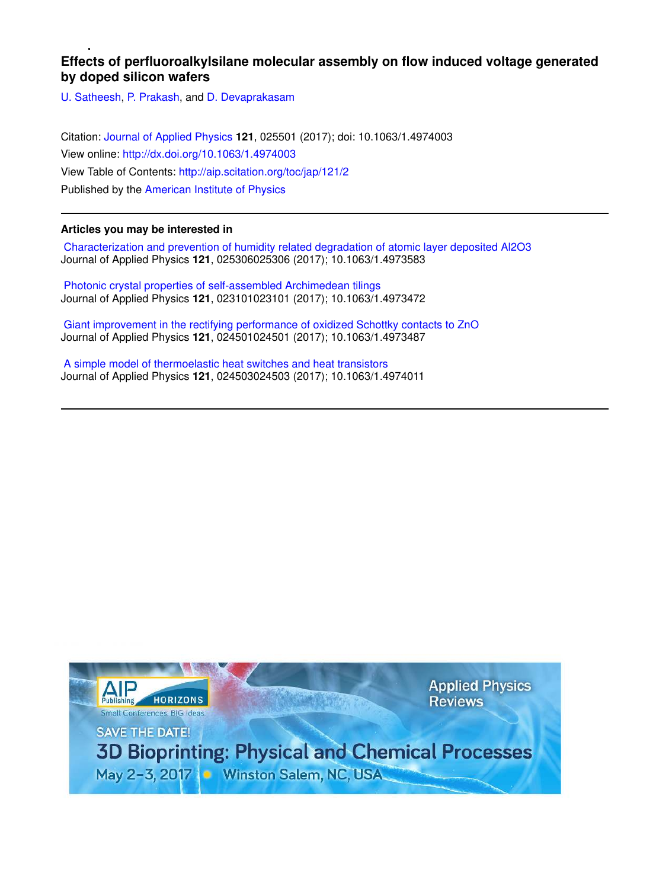# **Effects of perfluoroalkylsilane molecular assembly on flow induced voltage generated by doped silicon wafers**

U. Satheesh, P. Prakash, and D. Devaprakasam

Citation: Journal of Applied Physics **121**, 025501 (2017); doi: 10.1063/1.4974003 View online: http://dx.doi.org/10.1063/1.4974003 View Table of Contents: http://aip.scitation.org/toc/jap/121/2 Published by the American Institute of Physics

## **Articles you may be interested in**

 Characterization and prevention of humidity related degradation of atomic layer deposited Al2O3 Journal of Applied Physics **121**, 025306025306 (2017); 10.1063/1.4973583

 Photonic crystal properties of self-assembled Archimedean tilings Journal of Applied Physics **121**, 023101023101 (2017); 10.1063/1.4973472

 Giant improvement in the rectifying performance of oxidized Schottky contacts to ZnO Journal of Applied Physics **121**, 024501024501 (2017); 10.1063/1.4973487

 A simple model of thermoelastic heat switches and heat transistors Journal of Applied Physics **121**, 024503024503 (2017); 10.1063/1.4974011

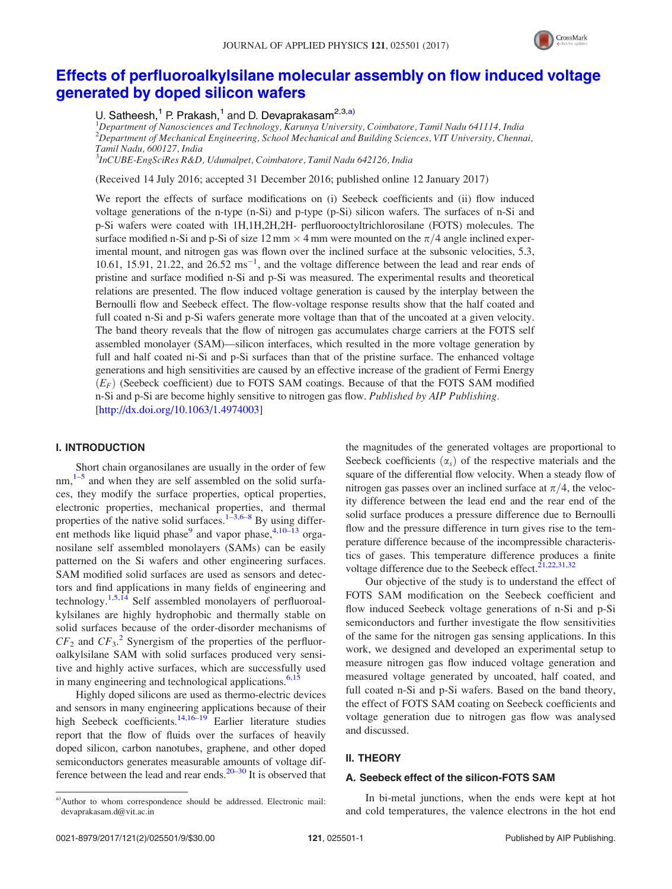

# Effects of perfluoroalkylsilane molecular assembly on flow induced voltage generated by doped silicon wafers

U. Satheesh,<sup>1</sup> P. Prakash,<sup>1</sup> and D. Devaprakasam<sup>2,3,a)</sup>

 $1$ Department of Nanosciences and Technology, Karunya University, Coimbatore, Tamil Nadu 641114, India  $2D$ epartment of Mechanical Engineering, School Mechanical and Building Sciences, VIT University, Chennai, Tamil Nadu, 600127, India 3 InCUBE-EngSciRes R&D, Udumalpet, Coimbatore, Tamil Nadu 642126, India

(Received 14 July 2016; accepted 31 December 2016; published online 12 January 2017)

We report the effects of surface modifications on (i) Seebeck coefficients and (ii) flow induced voltage generations of the n-type (n-Si) and p-type (p-Si) silicon wafers. The surfaces of n-Si and p-Si wafers were coated with 1H,1H,2H,2H- perfluorooctyltrichlorosilane (FOTS) molecules. The surface modified n-Si and p-Si of size 12 mm  $\times$  4 mm were mounted on the  $\pi/4$  angle inclined experimental mount, and nitrogen gas was flown over the inclined surface at the subsonic velocities, 5.3, 10.61, 15.91, 21.22, and  $26.52 \text{ ms}^{-1}$ , and the voltage difference between the lead and rear ends of pristine and surface modified n-Si and p-Si was measured. The experimental results and theoretical relations are presented. The flow induced voltage generation is caused by the interplay between the Bernoulli flow and Seebeck effect. The flow-voltage response results show that the half coated and full coated n-Si and p-Si wafers generate more voltage than that of the uncoated at a given velocity. The band theory reveals that the flow of nitrogen gas accumulates charge carriers at the FOTS self assembled monolayer (SAM)—silicon interfaces, which resulted in the more voltage generation by full and half coated ni-Si and p-Si surfaces than that of the pristine surface. The enhanced voltage generations and high sensitivities are caused by an effective increase of the gradient of Fermi Energy  $(E_F)$  (Seebeck coefficient) due to FOTS SAM coatings. Because of that the FOTS SAM modified n-Si and p-Si are become highly sensitive to nitrogen gas flow. Published by AIP Publishing. [http://dx.doi.org/10.1063/1.4974003]

#### I. INTRODUCTION

Short chain organosilanes are usually in the order of few nm,<sup>1-5</sup> and when they are self assembled on the solid surfaces, they modify the surface properties, optical properties, electronic properties, mechanical properties, and thermal properties of the native solid surfaces.<sup>1–3,6–8</sup> By using different methods like liquid phase<sup>9</sup> and vapor phase,  $4,10-13$  organosilane self assembled monolayers (SAMs) can be easily patterned on the Si wafers and other engineering surfaces. SAM modified solid surfaces are used as sensors and detectors and find applications in many fields of engineering and technology.<sup>1,5,14</sup> Self assembled monolayers of perfluoroalkylsilanes are highly hydrophobic and thermally stable on solid surfaces because of the order-disorder mechanisms of  $CF_2$  and  $CF_3$ <sup>2</sup> Synergism of the properties of the perfluoroalkylsilane SAM with solid surfaces produced very sensitive and highly active surfaces, which are successfully used in many engineering and technological applications.<sup>6,15</sup>

Highly doped silicons are used as thermo-electric devices and sensors in many engineering applications because of their high Seebeck coefficients.<sup>14,16–19</sup> Earlier literature studies report that the flow of fluids over the surfaces of heavily doped silicon, carbon nanotubes, graphene, and other doped semiconductors generates measurable amounts of voltage difference between the lead and rear ends. $20-30$  It is observed that the magnitudes of the generated voltages are proportional to Seebeck coefficients  $(\alpha_s)$  of the respective materials and the square of the differential flow velocity. When a steady flow of nitrogen gas passes over an inclined surface at  $\pi/4$ , the velocity difference between the lead end and the rear end of the solid surface produces a pressure difference due to Bernoulli flow and the pressure difference in turn gives rise to the temperature difference because of the incompressible characteristics of gases. This temperature difference produces a finite voltage difference due to the Seebeck effect.<sup>21,22,31,32</sup>

Our objective of the study is to understand the effect of FOTS SAM modification on the Seebeck coefficient and flow induced Seebeck voltage generations of n-Si and p-Si semiconductors and further investigate the flow sensitivities of the same for the nitrogen gas sensing applications. In this work, we designed and developed an experimental setup to measure nitrogen gas flow induced voltage generation and measured voltage generated by uncoated, half coated, and full coated n-Si and p-Si wafers. Based on the band theory, the effect of FOTS SAM coating on Seebeck coefficients and voltage generation due to nitrogen gas flow was analysed and discussed.

#### II. THEORY

#### A. Seebeck effect of the silicon-FOTS SAM

In bi-metal junctions, when the ends were kept at hot and cold temperatures, the valence electrons in the hot end

a)Author to whom correspondence should be addressed. Electronic mail: devaprakasam.d@vit.ac.in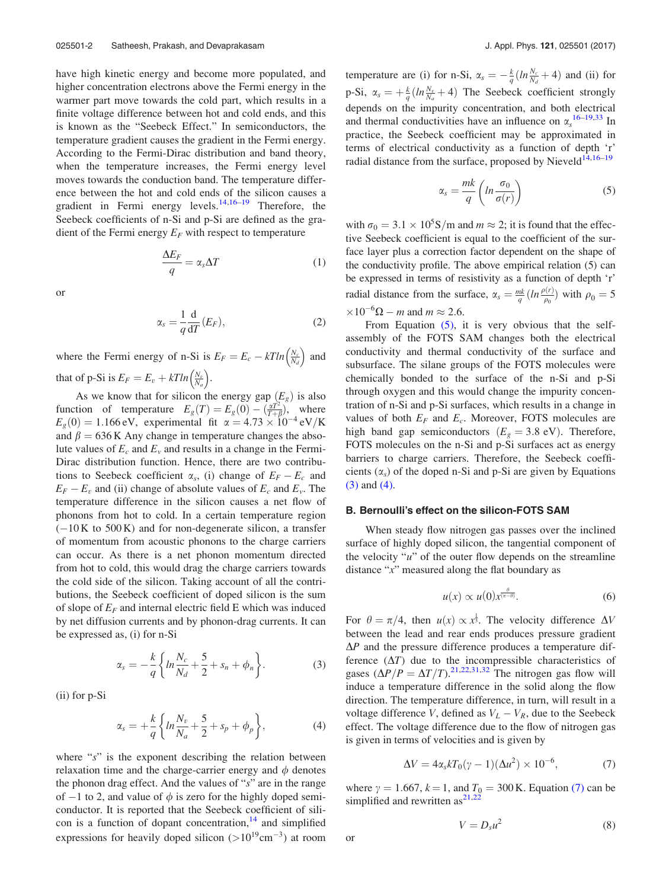have high kinetic energy and become more populated, and higher concentration electrons above the Fermi energy in the warmer part move towards the cold part, which results in a finite voltage difference between hot and cold ends, and this is known as the "Seebeck Effect." In semiconductors, the temperature gradient causes the gradient in the Fermi energy. According to the Fermi-Dirac distribution and band theory, when the temperature increases, the Fermi energy level moves towards the conduction band. The temperature difference between the hot and cold ends of the silicon causes a gradient in Fermi energy levels.<sup>14,16–19</sup> Therefore, the Seebeck coefficients of n-Si and p-Si are defined as the gradient of the Fermi energy  $E_F$  with respect to temperature

$$
\frac{\Delta E_F}{q} = \alpha_s \Delta T \tag{1}
$$

or

$$
\alpha_s = \frac{1}{q} \frac{d}{dT} (E_F), \qquad (2)
$$

where the Fermi energy of n-Si is  $E_F = E_c - kT ln \left( \frac{N_c}{N_d} \right)$  and that of p-Si is  $E_F = E_v + kT ln\left(\frac{N_v}{N_a}\right)$ .

As we know that for silicon the energy gap  $(E_{\varrho})$  is also function of temperature  $E_g(T) = E_g(0) - \left(\frac{\alpha T^2}{T+\beta}\right)$ , where  $E_g(0) = 1.166 \text{ eV}$ , experimental fit  $\alpha = 4.73 \times 10^{-4} \text{ eV/K}$ and  $\beta = 636$  K Any change in temperature changes the absolute values of  $E_c$  and  $E_v$  and results in a change in the Fermi-Dirac distribution function. Hence, there are two contributions to Seebeck coefficient  $\alpha_s$ , (i) change of  $E_F - E_c$  and  $E_F - E_v$  and (ii) change of absolute values of  $E_c$  and  $E_v$ . The temperature difference in the silicon causes a net flow of phonons from hot to cold. In a certain temperature region  $(-10 K to 500 K)$  and for non-degenerate silicon, a transfer of momentum from acoustic phonons to the charge carriers can occur. As there is a net phonon momentum directed from hot to cold, this would drag the charge carriers towards the cold side of the silicon. Taking account of all the contributions, the Seebeck coefficient of doped silicon is the sum of slope of  $E_F$  and internal electric field E which was induced by net diffusion currents and by phonon-drag currents. It can be expressed as, (i) for n-Si

$$
\alpha_s = -\frac{k}{q} \left\{ ln \frac{N_c}{N_d} + \frac{5}{2} + s_n + \phi_n \right\}.
$$
 (3)

(ii) for p-Si

$$
\alpha_s = +\frac{k}{q} \left\{ \ln \frac{N_v}{N_a} + \frac{5}{2} + s_p + \phi_p \right\},\tag{4}
$$

where " $s$ " is the exponent describing the relation between relaxation time and the charge-carrier energy and  $\phi$  denotes the phonon drag effect. And the values of "s" are in the range of  $-1$  to 2, and value of  $\phi$  is zero for the highly doped semiconductor. It is reported that the Seebeck coefficient of silicon is a function of dopant concentration, $14$  and simplified expressions for heavily doped silicon  $(>10^{19}cm^{-3})$  at room

temperature are (i) for n-Si,  $\alpha_s = -\frac{k}{q} (ln \frac{N_c}{N_d} + 4)$  and (ii) for p-Si,  $\alpha_s = +\frac{k}{q} (ln \frac{N_v}{N_a} + 4)$  The Seebeck coefficient strongly depends on the impurity concentration, and both electrical and thermal conductivities have an influence on  $\alpha_s^{16-19,33}$  In practice, the Seebeck coefficient may be approximated in terms of electrical conductivity as a function of depth 'r' radial distance from the surface, proposed by Nieveld<sup>14,16-19</sup>

$$
\alpha_s = \frac{mk}{q} \left( ln \frac{\sigma_0}{\sigma(r)} \right) \tag{5}
$$

with  $\sigma_0 = 3.1 \times 10^5$ S/m and  $m \approx 2$ ; it is found that the effective Seebeck coefficient is equal to the coefficient of the surface layer plus a correction factor dependent on the shape of the conductivity profile. The above empirical relation (5) can be expressed in terms of resistivity as a function of depth 'r' radial distance from the surface,  $\alpha_s = \frac{mk}{q} (ln \frac{\rho(r)}{\rho_0})$  with  $\rho_0 = 5$  $\times 10^{-6} \Omega - m$  and  $m \approx 2.6$ .

From Equation (5), it is very obvious that the selfassembly of the FOTS SAM changes both the electrical conductivity and thermal conductivity of the surface and subsurface. The silane groups of the FOTS molecules were chemically bonded to the surface of the n-Si and p-Si through oxygen and this would change the impurity concentration of n-Si and p-Si surfaces, which results in a change in values of both  $E_F$  and  $E_c$ . Moreover, FOTS molecules are high band gap semiconductors  $(E<sub>g</sub> = 3.8 \text{ eV})$ . Therefore, FOTS molecules on the n-Si and p-Si surfaces act as energy barriers to charge carriers. Therefore, the Seebeck coefficients  $(\alpha_s)$  of the doped n-Si and p-Si are given by Equations (3) and (4).

### B. Bernoulli's effect on the silicon-FOTS SAM

When steady flow nitrogen gas passes over the inclined surface of highly doped silicon, the tangential component of the velocity " $u$ " of the outer flow depends on the streamline distance " $x$ " measured along the flat boundary as

$$
u(x) \propto u(0) x^{\frac{\theta}{(\pi - \theta)}}.
$$
 (6)

For  $\theta = \pi/4$ , then  $u(x) \propto x^{\frac{1}{3}}$ . The velocity difference  $\Delta V$ between the lead and rear ends produces pressure gradient  $\Delta P$  and the pressure difference produces a temperature difference  $(\Delta T)$  due to the incompressible characteristics of gases  $(\Delta P/P = \Delta T/T)$ .<sup>21,22,31,32</sup> The nitrogen gas flow will induce a temperature difference in the solid along the flow direction. The temperature difference, in turn, will result in a voltage difference V, defined as  $V_L - V_R$ , due to the Seebeck effect. The voltage difference due to the flow of nitrogen gas is given in terms of velocities and is given by

$$
\Delta V = 4\alpha_s k T_0 (\gamma - 1) (\Delta u^2) \times 10^{-6},\tag{7}
$$

where  $\gamma = 1.667$ ,  $k = 1$ , and  $T_0 = 300$  K. Equation (7) can be simplified and rewritten  $as^{21,22}$ 

$$
V = D_s u^2 \tag{8}
$$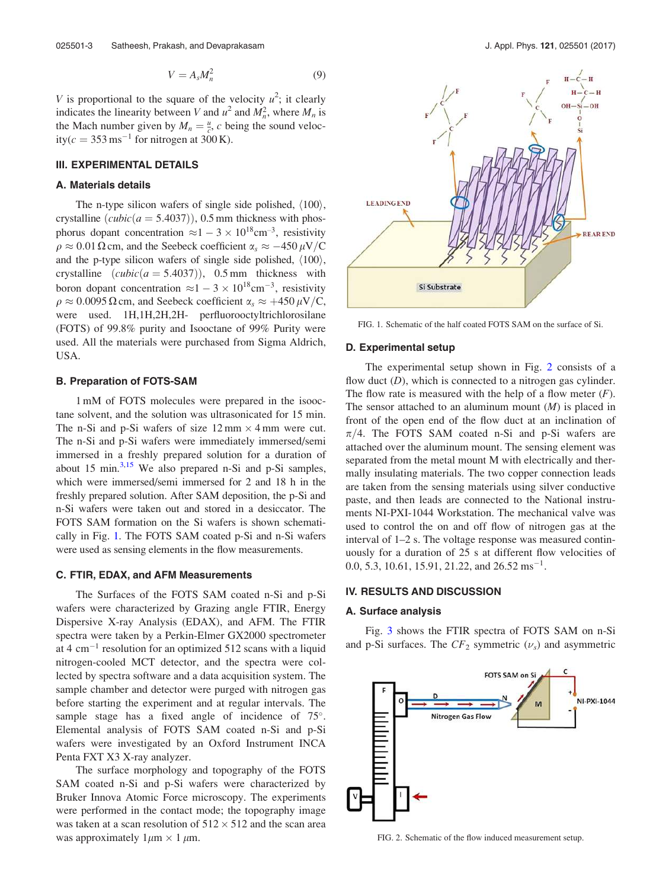$$
V = A_s M_n^2 \tag{9}
$$

V is proportional to the square of the velocity  $u^2$ ; it clearly indicates the linearity between V and  $u^2$  and  $M_n^2$ , where  $M_n$  is the Mach number given by  $M_n = \frac{u}{c}$ , c being the sound velocity( $c = 353 \,\text{ms}^{-1}$  for nitrogen at 300 K).

### III. EXPERIMENTAL DETAILS

#### A. Materials details

The n-type silicon wafers of single side polished,  $\langle 100 \rangle$ , crystalline  $(cubic(a = 5.4037))$ , 0.5 mm thickness with phosphorus dopant concentration  $\approx 1 - 3 \times 10^{18}$ cm<sup>-3</sup>, resistivity  $\rho \approx 0.01 \Omega$  cm, and the Seebeck coefficient  $\alpha_s \approx -450 \,\mu\text{V/C}$ and the p-type silicon wafers of single side polished,  $\langle 100 \rangle$ , crystalline  $(cubic(a = 5.4037))$ , 0.5 mm thickness with boron dopant concentration  $\approx 1 - 3 \times 10^{18}$ cm<sup>-3</sup>, resistivity  $\rho \approx 0.0095 \Omega$  cm, and Seebeck coefficient  $\alpha_s \approx +450 \mu V/C$ , were used. 1H,1H,2H,2H- perfluorooctyltrichlorosilane (FOTS) of 99.8% purity and Isooctane of 99% Purity were used. All the materials were purchased from Sigma Aldrich, USA.

#### B. Preparation of FOTS-SAM

1 mM of FOTS molecules were prepared in the isooctane solvent, and the solution was ultrasonicated for 15 min. The n-Si and p-Si wafers of size  $12 \text{ mm} \times 4 \text{ mm}$  were cut. The n-Si and p-Si wafers were immediately immersed/semi immersed in a freshly prepared solution for a duration of about 15 min. $3,15$  We also prepared n-Si and p-Si samples, which were immersed/semi immersed for 2 and 18 h in the freshly prepared solution. After SAM deposition, the p-Si and n-Si wafers were taken out and stored in a desiccator. The FOTS SAM formation on the Si wafers is shown schematically in Fig. 1. The FOTS SAM coated p-Si and n-Si wafers were used as sensing elements in the flow measurements.

#### C. FTIR, EDAX, and AFM Measurements

The Surfaces of the FOTS SAM coated n-Si and p-Si wafers were characterized by Grazing angle FTIR, Energy Dispersive X-ray Analysis (EDAX), and AFM. The FTIR spectra were taken by a Perkin-Elmer GX2000 spectrometer at 4  $\text{cm}^{-1}$  resolution for an optimized 512 scans with a liquid nitrogen-cooled MCT detector, and the spectra were collected by spectra software and a data acquisition system. The sample chamber and detector were purged with nitrogen gas before starting the experiment and at regular intervals. The sample stage has a fixed angle of incidence of 75°. Elemental analysis of FOTS SAM coated n-Si and p-Si wafers were investigated by an Oxford Instrument INCA Penta FXT X3 X-ray analyzer.

The surface morphology and topography of the FOTS SAM coated n-Si and p-Si wafers were characterized by Bruker Innova Atomic Force microscopy. The experiments were performed in the contact mode; the topography image was taken at a scan resolution of  $512 \times 512$  and the scan area was approximately  $1 \mu m \times 1 \mu m$ .



FIG. 1. Schematic of the half coated FOTS SAM on the surface of Si.

#### D. Experimental setup

The experimental setup shown in Fig. 2 consists of a flow duct  $(D)$ , which is connected to a nitrogen gas cylinder. The flow rate is measured with the help of a flow meter  $(F)$ . The sensor attached to an aluminum mount  $(M)$  is placed in front of the open end of the flow duct at an inclination of  $\pi/4$ . The FOTS SAM coated n-Si and p-Si wafers are attached over the aluminum mount. The sensing element was separated from the metal mount M with electrically and thermally insulating materials. The two copper connection leads are taken from the sensing materials using silver conductive paste, and then leads are connected to the National instruments NI-PXI-1044 Workstation. The mechanical valve was used to control the on and off flow of nitrogen gas at the interval of 1–2 s. The voltage response was measured continuously for a duration of 25 s at different flow velocities of 0.0, 5.3, 10.61, 15.91, 21.22, and  $26.52 \text{ ms}^{-1}$ .

#### IV. RESULTS AND DISCUSSION

#### A. Surface analysis

Fig. 3 shows the FTIR spectra of FOTS SAM on n-Si and p-Si surfaces. The  $CF_2$  symmetric  $(\nu_s)$  and asymmetric



FIG. 2. Schematic of the flow induced measurement setup.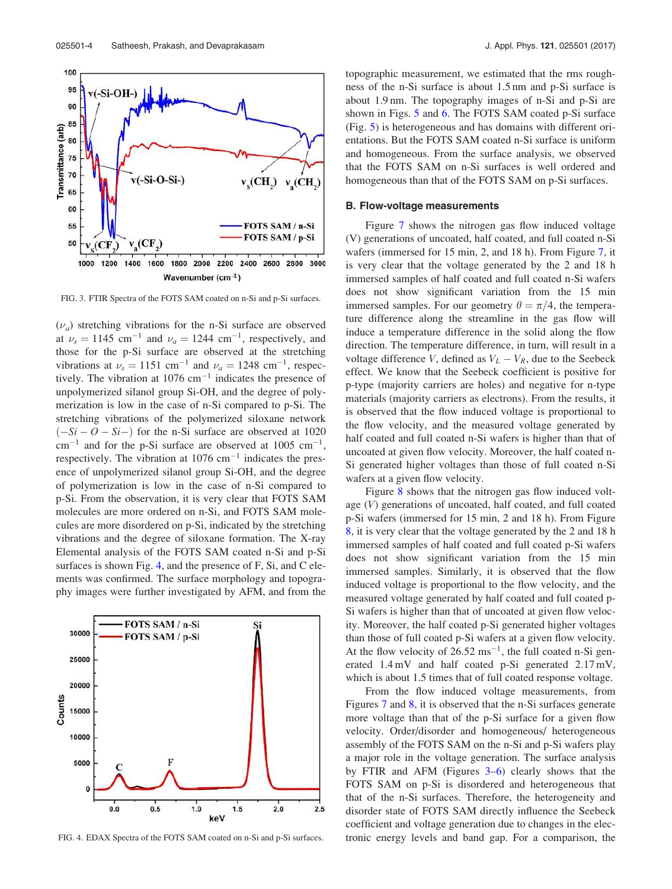

FIG. 3. FTIR Spectra of the FOTS SAM coated on n-Si and p-Si surfaces.

 $(\nu_a)$  stretching vibrations for the n-Si surface are observed at  $\nu_s = 1145$  cm<sup>-1</sup> and  $\nu_a = 1244$  cm<sup>-1</sup>, respectively, and those for the p-Si surface are observed at the stretching vibrations at  $\nu_s = 1151$  cm<sup>-1</sup> and  $\nu_a = 1248$  cm<sup>-1</sup>, respectively. The vibration at  $1076 \text{ cm}^{-1}$  indicates the presence of unpolymerized silanol group Si-OH, and the degree of polymerization is low in the case of n-Si compared to p-Si. The stretching vibrations of the polymerized siloxane network  $(-Si - O - Si -)$  for the n-Si surface are observed at 1020  $\text{cm}^{-1}$  and for the p-Si surface are observed at 1005  $\text{cm}^{-1}$ , respectively. The vibration at  $1076 \text{ cm}^{-1}$  indicates the presence of unpolymerized silanol group Si-OH, and the degree of polymerization is low in the case of n-Si compared to p-Si. From the observation, it is very clear that FOTS SAM molecules are more ordered on n-Si, and FOTS SAM molecules are more disordered on p-Si, indicated by the stretching vibrations and the degree of siloxane formation. The X-ray Elemental analysis of the FOTS SAM coated n-Si and p-Si surfaces is shown Fig. 4, and the presence of F, Si, and C elements was confirmed. The surface morphology and topography images were further investigated by AFM, and from the



FIG. 4. EDAX Spectra of the FOTS SAM coated on n-Si and p-Si surfaces.

topographic measurement, we estimated that the rms roughness of the n-Si surface is about 1.5 nm and p-Si surface is about 1.9 nm. The topography images of n-Si and p-Si are shown in Figs. 5 and 6. The FOTS SAM coated p-Si surface (Fig. 5) is heterogeneous and has domains with different orientations. But the FOTS SAM coated n-Si surface is uniform and homogeneous. From the surface analysis, we observed that the FOTS SAM on n-Si surfaces is well ordered and homogeneous than that of the FOTS SAM on p-Si surfaces.

#### B. Flow-voltage measurements

Figure 7 shows the nitrogen gas flow induced voltage (V) generations of uncoated, half coated, and full coated n-Si wafers (immersed for 15 min, 2, and 18 h). From Figure 7, it is very clear that the voltage generated by the 2 and 18 h immersed samples of half coated and full coated n-Si wafers does not show significant variation from the 15 min immersed samples. For our geometry  $\theta = \pi/4$ , the temperature difference along the streamline in the gas flow will induce a temperature difference in the solid along the flow direction. The temperature difference, in turn, will result in a voltage difference V, defined as  $V_L - V_R$ , due to the Seebeck effect. We know that the Seebeck coefficient is positive for p-type (majority carriers are holes) and negative for n-type materials (majority carriers as electrons). From the results, it is observed that the flow induced voltage is proportional to the flow velocity, and the measured voltage generated by half coated and full coated n-Si wafers is higher than that of uncoated at given flow velocity. Moreover, the half coated n-Si generated higher voltages than those of full coated n-Si wafers at a given flow velocity.

Figure 8 shows that the nitrogen gas flow induced voltage (V) generations of uncoated, half coated, and full coated p-Si wafers (immersed for 15 min, 2 and 18 h). From Figure 8, it is very clear that the voltage generated by the 2 and 18 h immersed samples of half coated and full coated p-Si wafers does not show significant variation from the 15 min immersed samples. Similarly, it is observed that the flow induced voltage is proportional to the flow velocity, and the measured voltage generated by half coated and full coated p-Si wafers is higher than that of uncoated at given flow velocity. Moreover, the half coated p-Si generated higher voltages than those of full coated p-Si wafers at a given flow velocity. At the flow velocity of  $26.52 \text{ ms}^{-1}$ , the full coated n-Si generated 1.4 mV and half coated p-Si generated 2:17 mV, which is about 1.5 times that of full coated response voltage.

From the flow induced voltage measurements, from Figures 7 and 8, it is observed that the n-Si surfaces generate more voltage than that of the p-Si surface for a given flow velocity. Order/disorder and homogeneous/ heterogeneous assembly of the FOTS SAM on the n-Si and p-Si wafers play a major role in the voltage generation. The surface analysis by FTIR and AFM (Figures 3–6) clearly shows that the FOTS SAM on p-Si is disordered and heterogeneous that that of the n-Si surfaces. Therefore, the heterogeneity and disorder state of FOTS SAM directly influence the Seebeck coefficient and voltage generation due to changes in the electronic energy levels and band gap. For a comparison, the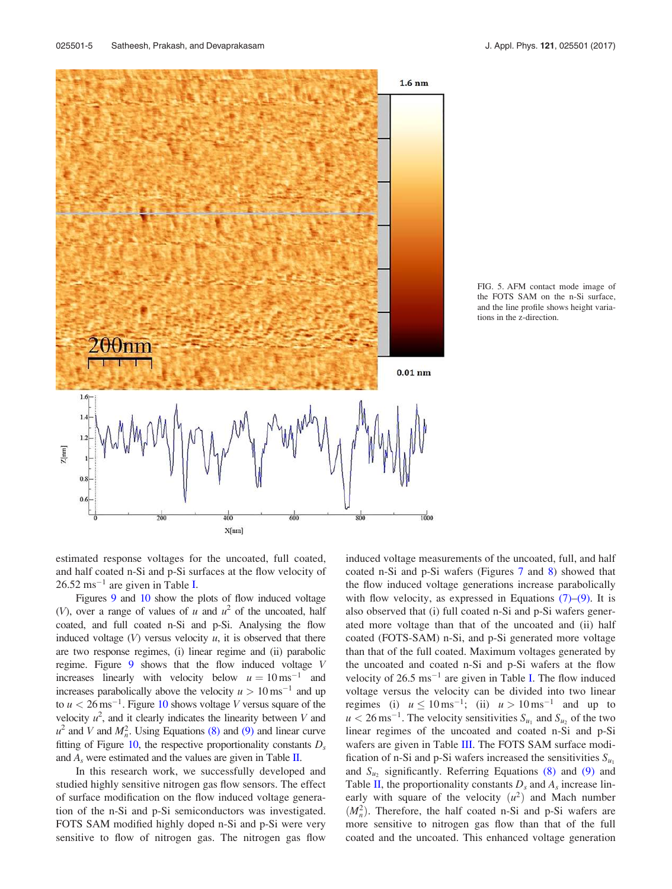

FIG. 5. AFM contact mode image of the FOTS SAM on the n-Si surface, and the line profile shows height variations in the z-direction.

estimated response voltages for the uncoated, full coated, and half coated n-Si and p-Si surfaces at the flow velocity of  $26.52 \text{ ms}^{-1}$  are given in Table I.

Figures 9 and 10 show the plots of flow induced voltage (V), over a range of values of u and  $u^2$  of the uncoated, half coated, and full coated n-Si and p-Si. Analysing the flow induced voltage  $(V)$  versus velocity  $u$ , it is observed that there are two response regimes, (i) linear regime and (ii) parabolic regime. Figure 9 shows that the flow induced voltage V increases linearly with velocity below  $u = 10 \text{ ms}^{-1}$  and increases parabolically above the velocity  $u > 10 \text{ ms}^{-1}$  and up to  $u < 26 \,\mathrm{ms}^{-1}$ . Figure 10 shows voltage *V* versus square of the velocity  $u^2$ , and it clearly indicates the linearity between V and  $u^2$  and V and  $M_n^2$ . Using Equations (8) and (9) and linear curve fitting of Figure 10, the respective proportionality constants  $D_s$ and  $A_s$  were estimated and the values are given in Table II.

In this research work, we successfully developed and studied highly sensitive nitrogen gas flow sensors. The effect of surface modification on the flow induced voltage generation of the n-Si and p-Si semiconductors was investigated. FOTS SAM modified highly doped n-Si and p-Si were very sensitive to flow of nitrogen gas. The nitrogen gas flow induced voltage measurements of the uncoated, full, and half coated n-Si and p-Si wafers (Figures 7 and 8) showed that the flow induced voltage generations increase parabolically with flow velocity, as expressed in Equations  $(7)$ – $(9)$ . It is also observed that (i) full coated n-Si and p-Si wafers generated more voltage than that of the uncoated and (ii) half coated (FOTS-SAM) n-Si, and p-Si generated more voltage than that of the full coated. Maximum voltages generated by the uncoated and coated n-Si and p-Si wafers at the flow velocity of  $26.5 \text{ ms}^{-1}$  are given in Table I. The flow induced voltage versus the velocity can be divided into two linear regimes (i)  $u \le 10 \,\text{ms}^{-1}$ ; (ii)  $u > 10 \,\text{ms}^{-1}$  and up to  $u < 26 \,\mathrm{ms}^{-1}$ . The velocity sensitivities  $S_{u_1}$  and  $S_{u_2}$  of the two linear regimes of the uncoated and coated n-Si and p-Si wafers are given in Table III. The FOTS SAM surface modification of n-Si and p-Si wafers increased the sensitivities  $S_{u_1}$ and  $S_{u_2}$  significantly. Referring Equations (8) and (9) and Table II, the proportionality constants  $D_s$  and  $A_s$  increase linearly with square of the velocity  $(u^2)$  and Mach number  $(M_n^2)$ . Therefore, the half coated n-Si and p-Si wafers are more sensitive to nitrogen gas flow than that of the full coated and the uncoated. This enhanced voltage generation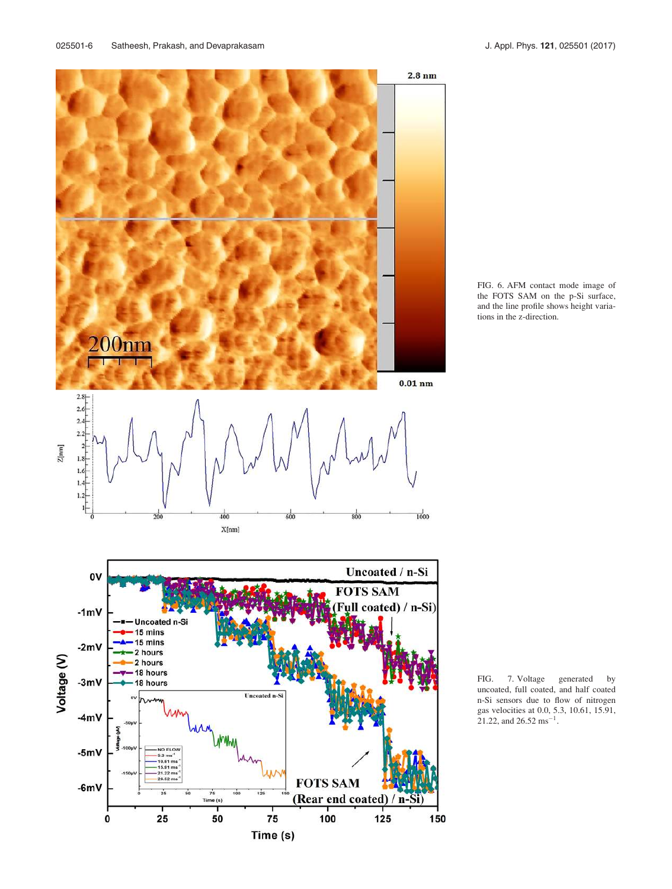

FIG. 6. AFM contact mode image of the FOTS SAM on the p-Si surface, and the line profile shows height variations in the z-direction.

FIG. 7. Voltage generated by uncoated, full coated, and half coated n-Si sensors due to flow of nitrogen gas velocities at 0.0, 5.3, 10.61, 15.91, 21.22, and  $26.52 \text{ ms}^{-1}$ .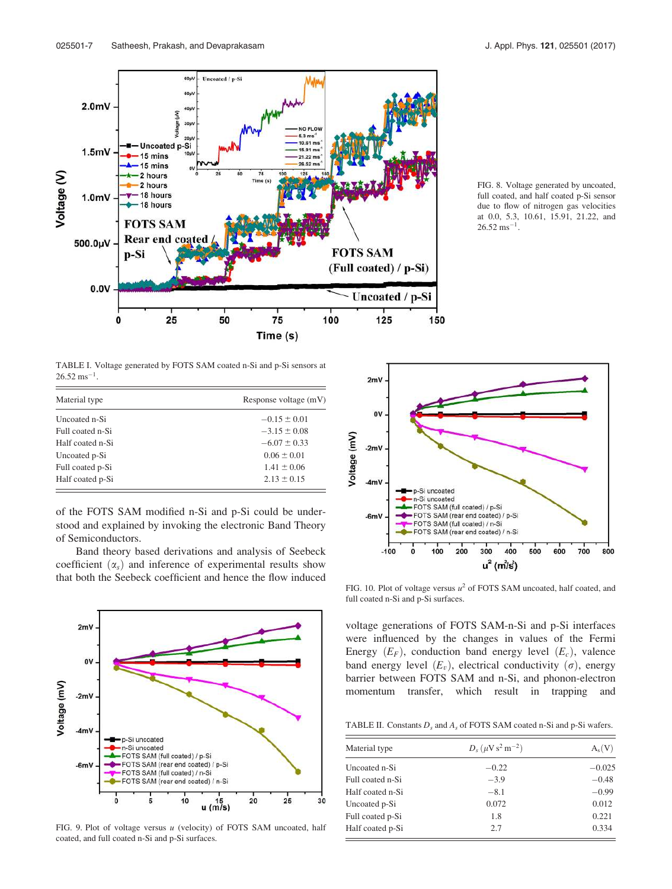

FIG. 8. Voltage generated by uncoated, full coated, and half coated p-Si sensor due to flow of nitrogen gas velocities at 0.0, 5.3, 10.61, 15.91, 21.22, and  $26.52 \text{ ms}^{-1}$ .

TABLE I. Voltage generated by FOTS SAM coated n-Si and p-Si sensors at  $26.52 \text{ ms}^{-1}$ .

| Material type    | Response voltage (mV) |
|------------------|-----------------------|
| Uncoated n-Si    | $-0.15 \pm 0.01$      |
| Full coated n-Si | $-3.15 \pm 0.08$      |
| Half coated n-Si | $-6.07 \pm 0.33$      |
| Uncoated p-Si    | $0.06 \pm 0.01$       |
| Full coated p-Si | $1.41 \pm 0.06$       |
| Half coated p-Si | $2.13 \pm 0.15$       |

of the FOTS SAM modified n-Si and p-Si could be understood and explained by invoking the electronic Band Theory of Semiconductors.

Band theory based derivations and analysis of Seebeck coefficient  $(\alpha_s)$  and inference of experimental results show that both the Seebeck coefficient and hence the flow induced



FIG. 9. Plot of voltage versus u (velocity) of FOTS SAM uncoated, half coated, and full coated n-Si and p-Si surfaces.



FIG. 10. Plot of voltage versus  $u^2$  of FOTS SAM uncoated, half coated, and full coated n-Si and p-Si surfaces.

voltage generations of FOTS SAM-n-Si and p-Si interfaces were influenced by the changes in values of the Fermi Energy  $(E_F)$ , conduction band energy level  $(E_c)$ , valence band energy level  $(E_v)$ , electrical conductivity  $(\sigma)$ , energy barrier between FOTS SAM and n-Si, and phonon-electron momentum transfer, which result in trapping and

TABLE II. Constants  $D_s$  and  $A_s$  of FOTS SAM coated n-Si and p-Si wafers.

| Material type    | $D_s(\mu V s^2 m^{-2})$ | $A_s(V)$ |
|------------------|-------------------------|----------|
| Uncoated n-Si    | $-0.22$                 | $-0.025$ |
| Full coated n-Si | $-3.9$                  | $-0.48$  |
| Half coated n-Si | $-8.1$                  | $-0.99$  |
| Uncoated p-Si    | 0.072                   | 0.012    |
| Full coated p-Si | 1.8                     | 0.221    |
| Half coated p-Si | 2.7                     | 0.334    |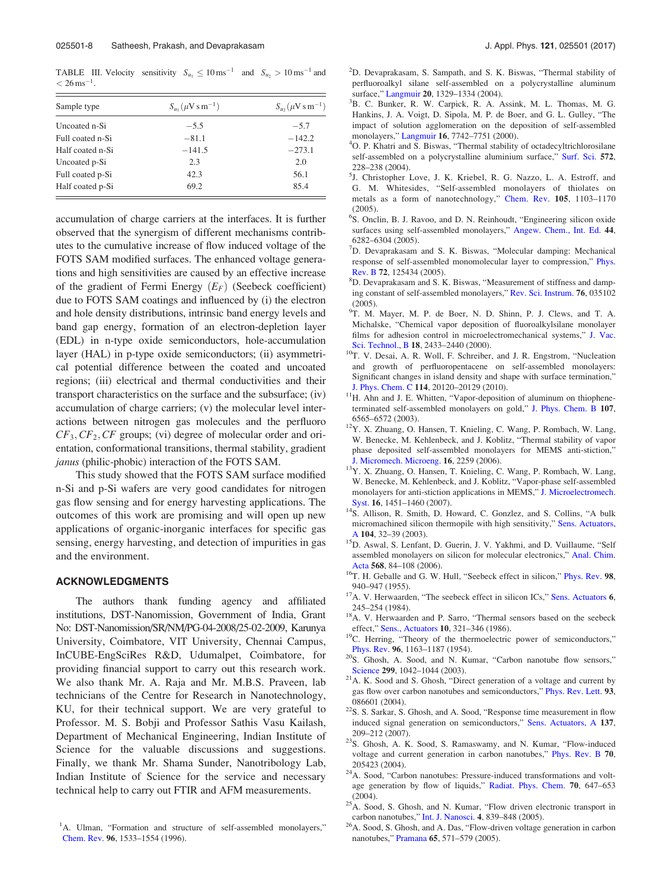TABLE III. Velocity sensitivity  $S_{u_1} \leq 10 \,\text{ms}^{-1}$  and  $S_{u_2} > 10 \,\text{ms}^{-1}$  and  $< 26 \,\mathrm{ms}^{-1}$ .

| Sample type      | $S_{u_1}(\mu V \sin^{-1})$ | $S_{\mu_2}(\mu V \sin^{-1})$ |
|------------------|----------------------------|------------------------------|
| Uncoated n-Si    | $-5.5$                     | $-5.7$                       |
| Full coated n-Si | $-81.1$                    | $-142.2$                     |
| Half coated n-Si | $-141.5$                   | $-273.1$                     |
| Uncoated p-Si    | 2.3                        | 2.0                          |
| Full coated p-Si | 42.3                       | 56.1                         |
| Half coated p-Si | 69.2                       | 85.4                         |

accumulation of charge carriers at the interfaces. It is further observed that the synergism of different mechanisms contributes to the cumulative increase of flow induced voltage of the FOTS SAM modified surfaces. The enhanced voltage generations and high sensitivities are caused by an effective increase of the gradient of Fermi Energy  $(E_F)$  (Seebeck coefficient) due to FOTS SAM coatings and influenced by (i) the electron and hole density distributions, intrinsic band energy levels and band gap energy, formation of an electron-depletion layer (EDL) in n-type oxide semiconductors, hole-accumulation layer (HAL) in p-type oxide semiconductors; (ii) asymmetrical potential difference between the coated and uncoated regions; (iii) electrical and thermal conductivities and their transport characteristics on the surface and the subsurface; (iv) accumulation of charge carriers; (v) the molecular level interactions between nitrogen gas molecules and the perfluoro  $CF_3, CF_2, CF$  groups; (vi) degree of molecular order and orientation, conformational transitions, thermal stability, gradient janus (philic-phobic) interaction of the FOTS SAM.

This study showed that the FOTS SAM surface modified n-Si and p-Si wafers are very good candidates for nitrogen gas flow sensing and for energy harvesting applications. The outcomes of this work are promising and will open up new applications of organic-inorganic interfaces for specific gas sensing, energy harvesting, and detection of impurities in gas and the environment.

#### ACKNOWLEDGMENTS

The authors thank funding agency and affiliated institutions, DST-Nanomission, Government of India, Grant No: DST-Nanomission/SR/NM/PG-04-2008/25-02-2009, Karunya University, Coimbatore, VIT University, Chennai Campus, InCUBE-EngSciRes R&D, Udumalpet, Coimbatore, for providing financial support to carry out this research work. We also thank Mr. A. Raja and Mr. M.B.S. Praveen, lab technicians of the Centre for Research in Nanotechnology, KU, for their technical support. We are very grateful to Professor. M. S. Bobji and Professor Sathis Vasu Kailash, Department of Mechanical Engineering, Indian Institute of Science for the valuable discussions and suggestions. Finally, we thank Mr. Shama Sunder, Nanotribology Lab, Indian Institute of Science for the service and necessary technical help to carry out FTIR and AFM measurements.

- <sup>2</sup>D. Devaprakasam, S. Sampath, and S. K. Biswas, "Thermal stability of perfluoroalkyl silane self-assembled on a polycrystalline aluminum surface," Langmuir 20, 1329-1334 (2004).
- <sup>3</sup>B. C. Bunker, R. W. Carpick, R. A. Assink, M. L. Thomas, M. G. Hankins, J. A. Voigt, D. Sipola, M. P. de Boer, and G. L. Gulley, "The impact of solution agglomeration on the deposition of self-assembled monolayers," Langmuir 16, 7742–7751 (2000).
- <sup>4</sup>O. P. Khatri and S. Biswas, "Thermal stability of octadecyltrichlorosilane self-assembled on a polycrystalline aluminium surface," Surf. Sci. 572, 228–238 (2004).
- <sup>5</sup>J. Christopher Love, J. K. Kriebel, R. G. Nazzo, L. A. Estroff, and G. M. Whitesides, "Self-assembled monolayers of thiolates on metals as a form of nanotechnology," Chem. Rev. 105, 1103–1170 (2005).
- <sup>6</sup>S. Onclin, B. J. Ravoo, and D. N. Reinhoudt, "Engineering silicon oxide surfaces using self-assembled monolayers," Angew. Chem., Int. Ed. 44, 6282–6304 (2005).
- <sup>7</sup>D. Devaprakasam and S. K. Biswas, "Molecular damping: Mechanical response of self-assembled monomolecular layer to compression," Phys. Rev. B 72, 125434 (2005).
- <sup>8</sup>D. Devaprakasam and S. K. Biswas, "Measurement of stiffness and damping constant of self-assembled monolayers," Rev. Sci. Instrum. 76, 035102 (2005).
- 9 T. M. Mayer, M. P. de Boer, N. D. Shinn, P. J. Clews, and T. A. Michalske, "Chemical vapor deposition of fluoroalkylsilane monolayer films for adhesion control in microelectromechanical systems," J. Vac. Sci. Technol., B 18, 2433–2440 (2000).
- <sup>10</sup>T. V. Desai, A. R. Woll, F. Schreiber, and J. R. Engstrom, "Nucleation and growth of perfluoropentacene on self-assembled monolayers: Significant changes in island density and shape with surface termination," J. Phys. Chem. C 114, 20120–20129 (2010).
- <sup>11</sup>H. Ahn and J. E. Whitten, "Vapor-deposition of aluminum on thiopheneterminated self-assembled monolayers on gold," J. Phys. Chem. B 107, 6565–6572 (2003).
- <sup>12</sup>Y. X. Zhuang, O. Hansen, T. Knieling, C. Wang, P. Rombach, W. Lang, W. Benecke, M. Kehlenbeck, and J. Koblitz, "Thermal stability of vapor phase deposited self-assembled monolayers for MEMS anti-stiction," J. Micromech. Microeng. 16, 2259 (2006).
- <sup>13</sup>Y. X. Zhuang, O. Hansen, T. Knieling, C. Wang, P. Rombach, W. Lang, W. Benecke, M. Kehlenbeck, and J. Koblitz, "Vapor-phase self-assembled monolayers for anti-stiction applications in MEMS," J. Microelectromech. Syst. 16, 1451–1460 (2007).
- <sup>14</sup>S. Allison, R. Smith, D. Howard, C. Gonzlez, and S. Collins, "A bulk micromachined silicon thermopile with high sensitivity," Sens. Actuators, A 104, 32–39 (2003).
- <sup>15</sup>D. Aswal, S. Lenfant, D. Guerin, J. V. Yakhmi, and D. Vuillaume, "Self assembled monolayers on silicon for molecular electronics," Anal. Chim. Acta 568, 84–108 (2006).
- <sup>16</sup>T. H. Geballe and G. W. Hull, "Seebeck effect in silicon," Phys. Rev. 98, 940–947 (1955).
- <sup>17</sup>A. V. Herwaarden, "The seebeck effect in silicon ICs," Sens. Actuators 6, 245–254 (1984).
- <sup>18</sup>A. V. Herwaarden and P. Sarro, "Thermal sensors based on the seebeck effect," Sens., Actuators 10, 321–346 (1986).
- <sup>19</sup>C. Herring, "Theory of the thermoelectric power of semiconductors," Phys. Rev. 96, 1163–1187 (1954).
- <sup>20</sup>S. Ghosh, A. Sood, and N. Kumar, "Carbon nanotube flow sensors," Science 299, 1042-1044 (2003).
- <sup>21</sup>A. K. Sood and S. Ghosh, "Direct generation of a voltage and current by gas flow over carbon nanotubes and semiconductors," Phys. Rev. Lett. 93, 086601 (2004).
- <sup>22</sup>S. S. Sarkar, S. Ghosh, and A. Sood, "Response time measurement in flow induced signal generation on semiconductors," Sens. Actuators, A 137, 209–212 (2007).
- <sup>23</sup>S. Ghosh, A. K. Sood, S. Ramaswamy, and N. Kumar, "Flow-induced voltage and current generation in carbon nanotubes," Phys. Rev. B 70, 205423 (2004).
- <sup>24</sup>A. Sood, "Carbon nanotubes: Pressure-induced transformations and voltage generation by flow of liquids," Radiat. Phys. Chem. 70, 647–653 (2004).
- $25A$ . Sood, S. Ghosh, and N. Kumar, "Flow driven electronic transport in carbon nanotubes," Int. J. Nanosci. 4, 839–848 (2005).
- <sup>26</sup>A. Sood, S. Ghosh, and A. Das, "Flow-driven voltage generation in carbon nanotubes," Pramana 65, 571–579 (2005).

<sup>&</sup>lt;sup>1</sup>A. Ulman, "Formation and structure of self-assembled monolayers," Chem. Rev. 96, 1533–1554 (1996).